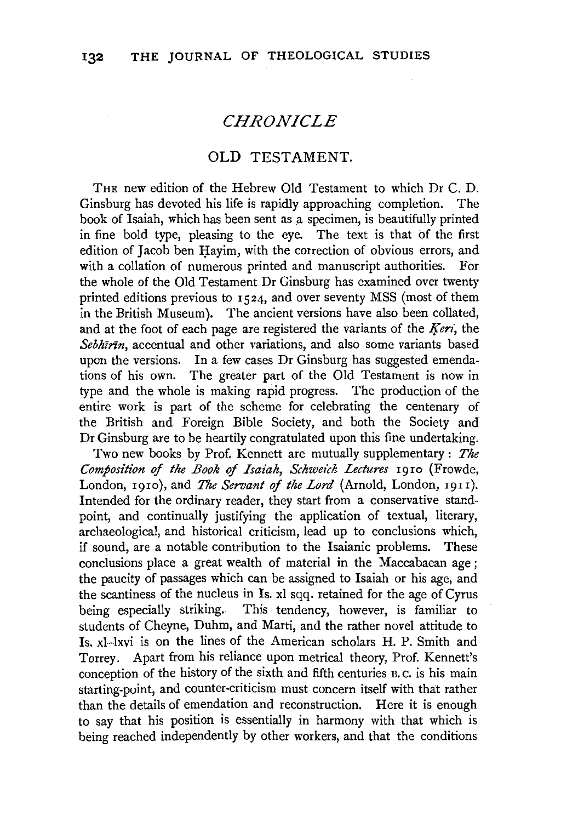# *CHRONICLE*

### OLD TESTAMENT.

THE new edition of the Hebrew Old Testament to which Dr C. D. Ginsburg has devoted his life is rapidly approaching completion. The book of Isaiah, which has been sent as a specimen, is beautifully printed in fine bold type, pleasing to the eye. The text is that of the first edition of Jacob ben Havim, with the correction of obvious errors, and with a collation of numerous printed and manuscript authorities. For the whole of the Old Testament Dr Ginsburg has examined over twenty printed editions previous to 1524, and over seventy MSS (most of them in the British Museum). The ancient versions have also been collated, and at the foot of each page are registered the variants of the *Keri*, the *Sebhzrin,* accentual and other variations, and also some variants based upon the versions. In a few cases Dr Ginsburg has suggested emendations of his own. The greater part of the Old Testament is now in type and the whole is making rapid progress. The production of the entire work is part of the scheme for celebrating the centenary of the British and Foreign Bible Society, and both the Society and Dr Ginsburg are to be heartily congratulated upon this fine undertaking.

Two new books by Prof. Kennett are mutually supplementary : *The Composition of the Book of Isaiah, Schweich Lectures* 1910 (Frowde, London, 1910), and *The Servant of the Lord* (Arnold, London, 19rr). Intended for the ordinary reader, they start from a conservative standpoint, and continually justifying the application of textual, literary, archaeological, and historical criticism, lead up to conclusions which, if sound, are a notable contribution to the Isaianic problems. These conclusions place a great wealth of material in the Maccabaean age ; the paucity of passages which can be assigned to Isaiah or his age, and the scantiness of the nucleus in Is. xl sqq. retained for the age of Cyrus being especially striking. This tendency, however, is familiar to students of Cheyne, Duhm, and Marti, and the rather novel attitude to Is. xl-lxvi is on the lines of the American scholars H. P. Smith and Torrey. Apart from his reliance upon metrical theory, Prof. Kennett's conception of the history of the sixth and fifth centuries B. c. is his main starting-point, and counter-criticism must concern itself with that rather than the details of emendation and reconstruction. Here it is enough to say that his position is essentially in harmony with that which is being reached independently by other workers, and that the conditions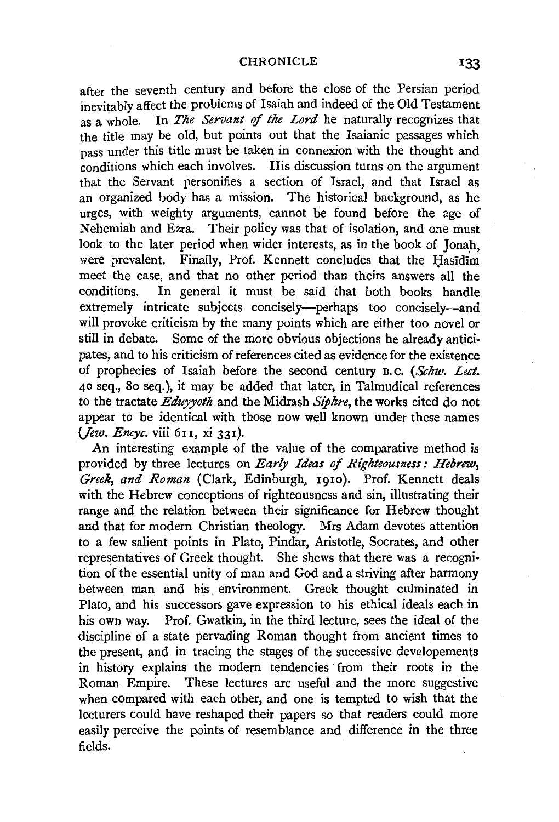after the seventh century and before the close of the Persian period inevitably affect the problems of Isaiah and indeed of the Old Testament as a whole. In *The Servant of the Lord* he naturally recognizes that the title may be old, but points out that the Isaianic passages which pass under this title must be taken in connexion with the thought and conditions which each involves. His discussion turns on the argument that the Servant personifies a section of Israel, and that Israel as an organized body has a mission. The historical background, as he urges, with weighty arguments, cannot be found before the age of Nehemiah and Ezra. Their policy was that of isolation, and one must look to the later period when wider interests, as in the book of Jonah, were prevalent. Finally, Prof. Kennett concludes that the Hasidim meet the case, and that no other period than theirs answers all the conditions. In general it must be said that both books handle In general it must be said that both books handle extremely intricate subjects concisely-perhaps too concisely-and will provoke criticism by the many points which are either too novel or still in debate. Some of the more obvious objections he already anticipates, and to his criticism of references cited as evidence for the existence of prophecies of Isaiah before the second century B. c. *(Schw. Lect.*  40 seq., 8o seq.), it may be added that later, in Talmudical references to the tractate *Eduyyoth* and the Midrash *Siphre,* the works cited do not appear to be identical with those now well known under these names *(Jew. Encyc. viii 611. xi 331).* 

An interesting example of the value of the comparative method is provided by three lectures on *Early Ideas of Righteousness: Hebrew, Greek, and Roman* (Clark, Edinburgh, 1910). Prof. Kennett deals with the Hebrew conceptions of righteousness and sin, illustrating their range and the relation between their significance for Hebrew thought and that for modern Christian theology. Mrs Adam devotes attention to a few salient points in Plato, Pindar, Aristotle, Socrates, and other representatives of Greek thought. She shews that there was a recogni· tion of the essential unity of man and God and a striving after harmony between man and his environment. Greek thought culminated in Plato, and his successors gave expression to his ethical ideals each in his own way. Prof. Gwatkin, in the third lecture, sees the ideal of the discipline of a state pervading Roman thought from ancient times to the present, and in tracing the stages of the successive developements in history explains the modern tendencies from their roots in the Roman Empire. These lectures are useful and the more suggestive when compared with each other, and one is tempted to wish that the lecturers could have reshaped their papers so that readers could more easily perceive the points of resemblance and difference in the three fields.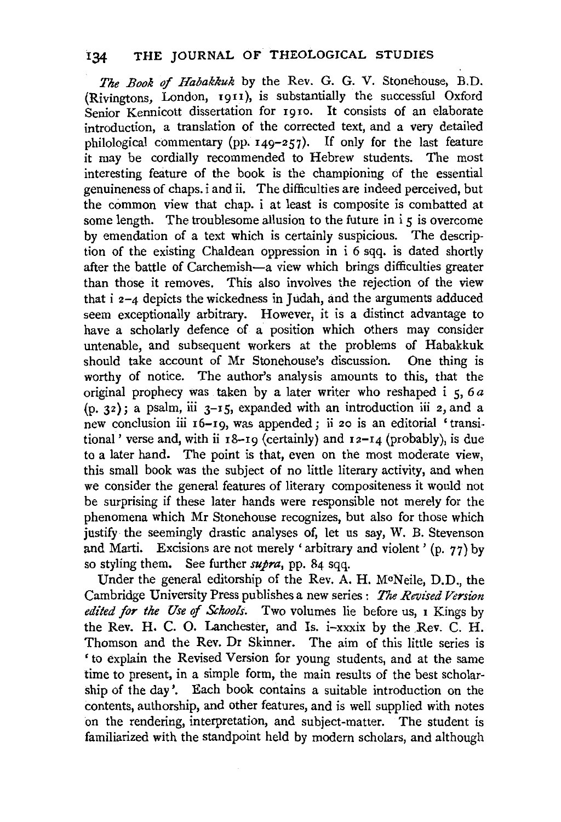*The Book* of *Habakkuk* by the Rev. G. G. V. Stonehouse, B.D. (Rivingtons, London, 1911), is substantially the successful Oxford Senior Kennicott dissertation for 1910. It consists of an elaborate introduction, a translation of the corrected text, and a very detailed philological commentary (pp.  $149-257$ ). If only for the last feature it may be cordially recommended to Hebrew students. The most interesting feature of the book is the championing of the essential genuineness of chaps. i and ii. The difficulties are indeed perceived, but the common view that chap. i at least is composite is combatted at some length. The troublesome allusion to the future in  $i \in S$  is overcome by emendation of a text which is certainly suspicious. The description of the existing Chaldean oppression in i 6 sqq. is dated shortly after the battle of Carchemish-a view which brings difficulties greater than those it removes. This also involves the rejection of the view that i 2-4 depicts the wickedness in Judah, and the arguments adduced seem exceptionally arbitrary. However, it is a distinct advantage to have a scholarly defence of a position which others may consider untenable, and subsequent workers at the problems of Habakkuk should take account of Mr Stonehouse's discussion. One thing is worthy of notice. The author's analysis amounts to this, that the original prophecy was taken by a later writer who reshaped i 5, 6 *a*   $(p, 32)$ ; a psalm, iii  $3-15$ , expanded with an introduction iii 2, and a new conclusion iii 16-19, was appended; ii 20 is an editorial 'transitional' verse and, with ii  $18$ -19 (certainly) and  $12$ -14 (probably), is due to a later hand. The point is that, even on the most moderate view, this small book was the subject of no little literary activity, and when we consider the general features of literary compositeness it would not be surprising if these later hands were responsible not merely for the phenomena which Mr Stonehouse recognizes, but also for those which justify the seemingly drastic analyses of, let us say, W. B. Stevenson and Marti. Excisions are not merely ' arbitrary and violent ' (p. 77) by so styling them. See further *supra,* pp. 84 sqq.

Under the general editorship of the Rev. A. H. McNeile, D.D., the Cambridge University Press publishes a new series : *The Revised Version edited for the Use* of *Schools.* Two volumes lie before us, 1 Kings by the Rev. H. C. O. Lanchester, and Is. i-xxxix by the Rev. C. H. Thomson and the Rev. Dr Skinner. The aim of this little series is ' to explain the Revised Version for young students, and at the same time to present, in a simple form, the main results of the best scholarship of the day'. Each book contains a suitable introduction on the contents, authorship, and other features, and is well supplied with notes on the rendering, interpretation, and subject-matter. The student is familiarized with the standpoint held by modern scholars, and although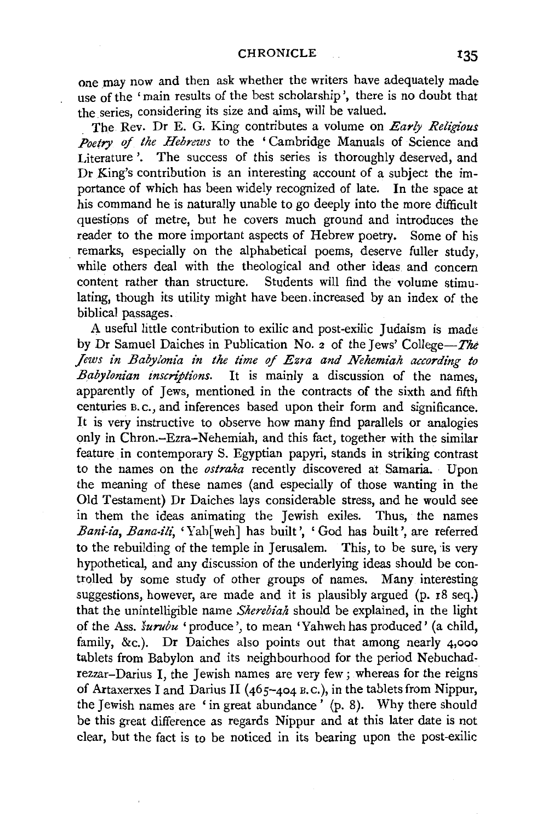one may now and then ask whether the writers have adequately made use of the 'main results of the best scholarship', there is no doubt that the series, considering its size and aims, will be valued.

The Rev. Dr E. G. King contributes a volume on *Early Religious*  Poetry of the Hebrews to the 'Cambridge Manuals of Science and Literature '. The success of this series is thoroughly deserved, and Dr King's contribution is an interesting account of a subject the importance of which has been widely recognized of late. In the space at his command he is naturally unable to go deeply into the more difficult questions of metre, but he covers much ground and introduces the reader to the more important aspects of Hebrew poetry. Some of his remarks, especially on the alphabetical poems, deserve fuller study, while others deal with the theological and other ideas and concern<br>content rather than structure. Students will find the volume stimu-Students will find the volume stimulating, though its utility might have been.increased by an index of the biblical passages.

A useful little contribution to exilic and post-exilic Judaism is made by Dr Samuel Daiches in Publication No. 2 of the Jews' College-The *Jews in Babylonia in the time of Ezra and Nehemiah according to Babylonian inscriptions.* It is mainly a discussion of the names, apparently of Jews, mentioned in the contracts of the sixth and fifth centuries B. c., and inferences based upon their form and significance. It is very instructive to observe how many find parallels or analogies only in Chron.-Ezra-Nehemiah, and this fact, together with the similar feature in contemporary S. Egyptian papyri, stands in striking contrast to the names on the *ostraka* recently discovered at Samaria. Upon the meaning of these names (and especially of those wanting in the Old Testament) Dr Daiches lays considerable stress, and he would see in them the ideas animating the Jewish exiles. Thus, the names Bani-ia, Bana-ili, 'Yah[weh] has built', 'God has built', are referred to the rebuilding of the temple in Jerusalem. This, to be sure, is very hypothetical, and any discussion of the underlying ideas should be controlled by some study of other groups of names. Many interesting suggestions, however, are made and it is plausibly argued (p. 18 seq.) that the unintelligible name *Sherebiah* should be explained, in the light of the Ass. *surubu* 'produce', to mean 'Yahweh has produced' (a child, family, &c.). Dr Daiches also points out that among nearly 4,ooo tablets from Babylon and its neighbourhood for the period Nebuchadrezzar-Darius I, the Jewish names are very few; whereas for the reigns of Artaxerxes I and Darius II ( $465-404$  B.C.), in the tablets from Nippur, the Jewish names are 'in great abundance' (p. 8). Why there should be this great difference as regards Nippur and at this later date is not clear, but the fact is to be noticed in its bearing upon the post-exilic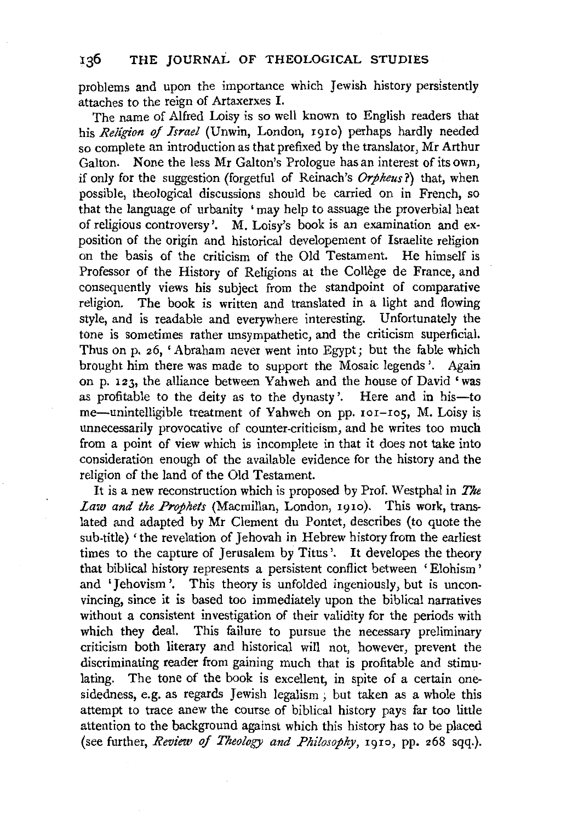### 136 THE JOURNAL OF THEOLOGICAL STUDIES

problems and upon the importance which Jewish history persistently attaches to the reign of Artaxerxes I.

The name of Alfred Loisy is so well known to English readers that his *Religion of Israel* (Unwin, London, 1910) perhaps hardly needed so complete an introduction as that prefixed by the translator, Mr Arthur Galton. None the less Mr Galton's Prologue has an interest of its own, if only for the suggestion (forgetful of Reinach's *Orpheus?)* that, when possible, theological discussions should be carried on in French, so that the language of urbanity 'may help to assuage the proverbial heat of religious controversy'. M. Loisy's book is an examination and exposition of the origin and historical developement of Israelite religion on the basis of the criticism of the Old Testament. He himself is Professor of the History of Religions at the Collège de France, and consequently views his subject from the standpoint of comparative religion. The book is written and translated in a light and flowing style, and is readable and everywhere interesting. Unfortunately the tone is sometimes rather unsympathetic, and the criticism superficial. Thus on p. 26, 'Abraham never went into Egypt; but the fable which brought him there was made to support the Mosaic legends'. Again on p. 123, the alliance between Yahweh and the house of David 'was as profitable to the deity as to the dynasty'. Here and in his-to me-unintelligible treatment of Yahweh on pp. 101-105, M. Loisy is unnecessarily provocative of counter-criticism, and he writes too much from a point of view which is incomplete in that it does not take into consideration enough of the available evidence for the history and the religion of the land of the Old Testament.

It is a new reconstruction which is proposed by Prof. Westphal in *The Law and the Prophets* (Macmillan, London, 1910). This work, translated and adapted by Mr Clement du Pontet, describes (to quote the sub-title) 'the revelation of Jehovah in Hebrew history from the earliest times to the capture of Jerusalem by Titus'. It developes the theory that biblical history represents a persistent conflict between 'Elohism ' and 'Jehovism '. This theory is unfolded ingeniously, but is unconvincing, since it is based too immediately upon the biblical narratives without a consistent investigation of their validity for the periods with which they deal. This failure to pursue the necessary preliminary criticism both literary and historical will not, however, prevent the discriminating reader from gaining much that is profitable and stimulating. The tone of the book is excellent, in spite of a certain onesidedness, e.g. as regards Jewish legalism; but taken as a whole this attempt to trace anew the course of biblical history pays far too little attention to the background against which this history has to be placed (see further, *Review of Theology and Philosophy,* 1910, pp. 268 sqq.).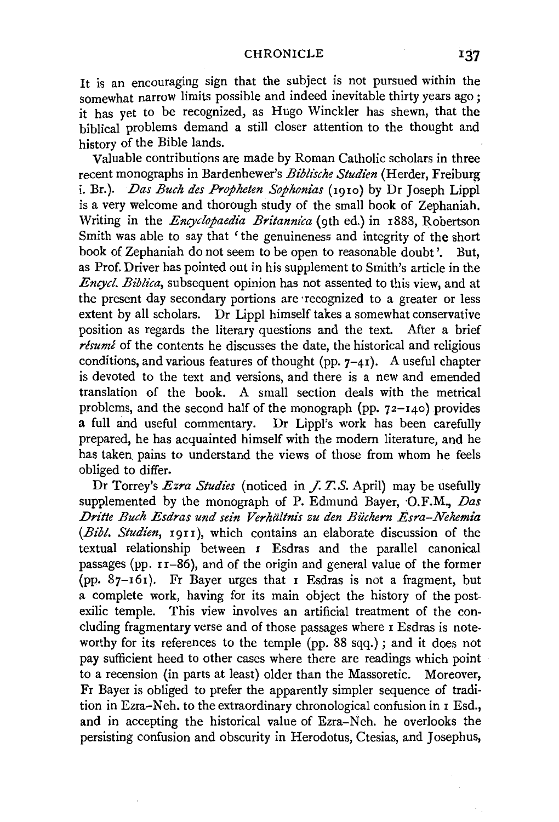It is an encouraging sign that the subject is not pursued within the somewhat narrow limits possible and indeed inevitable thirty years ago: it has yet to be recognized, as Hugo Winckler has shewn, that the biblical problems demand a still closer attention to the thought and history of the Bible lands.

Valuable contributions are made by Roman Catholic scholars in three recent monographs in Bardenhewer's *Biblische Studien* (Herder, Freiburg i. Br.). *Das Buch des Propheten Sophonias* (Igio) by Dr Joseph Lippi is a very welcome and thorough study of the small book of Zephaniah. Writing in the *Encyclopaedia Britannica* (9th ed.) in 1888, Robertson Smith was able to say that 'the genuineness and integrity of the short book of Zephaniah do not seem to be open to reasonable doubt'. But, as Prof. Driver has pointed out in his supplement to Smith's article in the *Encycl. Biblica,* subsequent opinion has not assented to this view, and at the present day secondary portions are ·recognized to a greater or less extent by all scholars. Dr Lippi himself takes a somewhat conservative position as regards the literary questions and the text. After a brief *résumé* of the contents he discusses the date, the historical and religious conditions, and various features of thought (pp.  $7-4$ I). A useful chapter is devoted to the text and versions, and there is a new and emended translation of the book. A small section deals with the metrical problems, and the second half of the monograph (pp.  $72-140$ ) provides a full and useful commentary. Dr Lippi's work has been carefully prepared, he has acquainted himself with the modern literature, and he has taken pains to understand the views of those from whom he feels obliged to differ.

Dr Torrey's *Ezra Studies* (noticed in *J. T.S. April)* may be usefully supplemented by the monograph of P. Edmund Bayer, O.F.M., *Das Dritte Buch Esdras und sein Verhiiltnis zu den Buchern Esra-Nehemia*  (Bibl. Studien, 1911), which contains an elaborate discussion of the textual relationship between I Esdras and the parallel canonical passages (pp.  $r_1$ -86), and of the origin and general value of the former (pp.  $87-161$ ). Fr Bayer urges that I Esdras is not a fragment, but a complete work, having for its main object the history of the postexilic temple. This view involves an artificial treatment of the concluding fragmentary verse and of those passages where I Esdras is noteworthy for its references to the temple (pp. 88 sqq.); and it does not pay sufficient heed to other cases where there are readings which point to a recension (in parts at least) older than the Massoretic. Moreover, Fr Bayer is obliged to prefer the apparently simpler sequence of tradition in Ezra-Neh. to the extraordinary chronological confusion in I Esd., and in accepting the historical value of Ezra-Neh. he overlooks the persisting confusion and obscurity in Herodotus, Ctesias, and Josephus,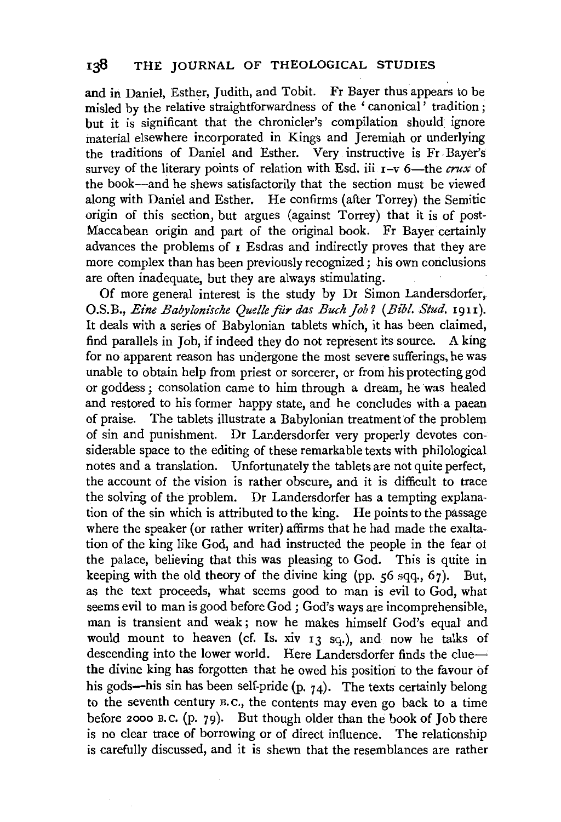# 138 THE JOURNAL OF THEOLOGICAL STUDIES

and in Daniel, Esther, Judith, and Tobit. Fr Bayer thus appears to be misled by the relative straightforwardness of the 'canonical' tradition: but it is significant that the chronicler's compilation should ignore material elsewhere incorporated in Kings and Jeremiah or underlying the traditions of Daniel and Esther. Very instructive is Fr. Bayer's survey of the literary points of relation with Esd. iii  $I-v$  6—the *crux* of the book-and he shews satisfactorily that the section must be viewed along with Daniel and Esther. He confirms (after Torrey) the Semitic origin of this section, but argues (against Torrey) that it is of post-Maccabean origin and part of the original book. Fr Bayer certainly advances the problems of  $I$  Esdras and indirectly proves that they are more complex than has been previously recognized ; his own conclusions are often inadequate, but they are always stimulating.

Of more general interest is the study by Dr Simon Landersdorfer, O.S.B., *Eine Babylonische Quelle für das Buch Job?* (Bibl. Stud. 1911). It deals with a series of Babylonian tablets which, it has been claimed, find parallels in Job, if indeed they do not represent its source. A king for no apparent reason has undergone the most severe sufferings, he was unable to obtain help from priest or sorcerer, or from his protecting god or goddess ; consolation came to him through a dream, he was healed and restored to his former happy state, and he concludes with a paean of praise. The tablets illustrate a Babylonian treatmentof the problem of sin and punishment. Dr Landersdorfer very properly devotes considerable space to the editing of these remarkable texts with philological notes and a translation. Unfortunately the tablets are not quite perfect, the account of the vision is rather obscure, and it is difficult to trace the solving of the problem. Dr Landersdorfer has a tempting explanation of the sin which is attributed to the king. He points to the passage where the speaker (or rather writer) affirms that he had made the exaltation of the king like God, and had instructed the people in the fear ot the palace, believing that this was pleasing to God. This is quite in keeping with the old theory of the divine king (pp. 56 sqq., 67). But, as the text proceeds, what seems good to man is evil to God, what seems evil to man is good before God; God's ways are incomprehensible, man is transient and weak ; now he makes himself God's equal and would mount to heaven (cf. Is. xiv 13 sq.), and now he talks of descending into the lower world. Here Landersdorfer finds the cluethe divine king has forgotten that he owed his position to the favour of his gods—his sin has been self-pride  $(p, 74)$ . The texts certainly belong to the seventh century B. c., the contents may even go back to a time before *zooo* B.C. (p. 79). But though older than the book of Job there is no clear trace of borrowing or of direct influence. The relationship is carefully discussed, and it is shewn that the resemblances are rather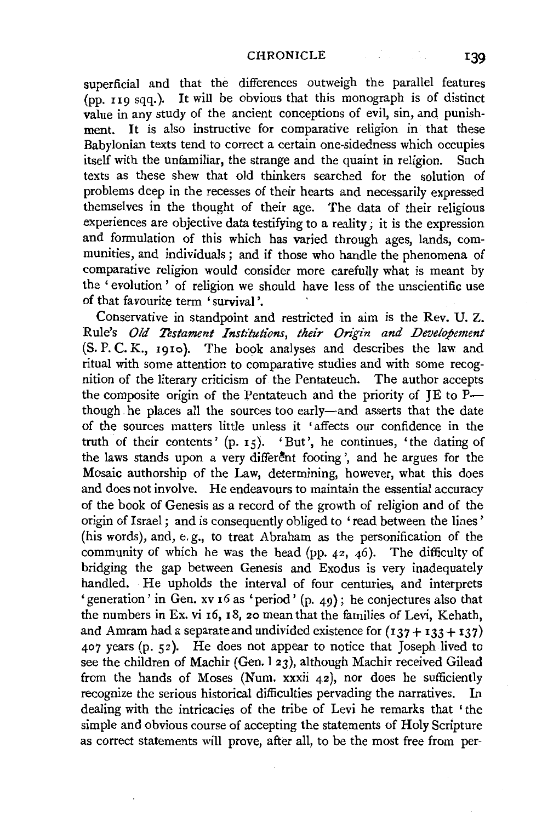superficial and that the differences outweigh the parallel features (pp. 119 sqq.). It will be obvious that this monograph is of distinct value in any study of the ancient conceptions of evil, sin, and punishment. It is also instructive for comparative religion in that these Babylonian texts tend to correct a certain one-sidedness which occupies itself with the unfamiliar, the strange and the quaint in religion. Such texts as these shew that old thinkers searched for the solution of problems deep in the recesses of their hearts and necessarily expressed themselves in the thought of their age. The data of their religious experiences are objective data testifying to a reality; it is the expression and formulation of this which has varied through ages, lands, communities, and individuals ; and if those who handle the phenomena of comparative religion would consider more carefully what is meant by the ' evolution ' of religion we should have less of the unscientific use of that favourite term 'survival'.

Conservative in standpoint and restricted in aim is the Rev. U. Z. Rule's *Old Testament Institutions, their Origin and Developement*  (S. P. C. K., 1910). The book analyses and describes the law and ritual with some attention to comparative studies and with some recognition of the literary criticism of the Pentateuch. The author accepts the composite origin of the Pentateuch and the priority of JE to Pthough. he places all the sources too early-and asserts that the date of the sources matters little unless it ' affects our confidence in the truth of their contents'  $(p, 15)$ . 'But', he continues, 'the dating of the laws stands upon a very different footing', and he argues for the Mosaic authorship of the Law, determining, however, what this does and does not involve. He endeavours to maintain the essential accuracy of the book of Genesis as a record of the growth of religion and of the origin of Israel; and is consequently obliged to 'read between the lines' (his words), and, e. g., to treat Abraham as the personification of the community of which he was the head (pp. 42, 46). The difficulty of bridging the gap between Genesis and Exodus is very inadequately handled. He upholds the interval of four centuries, and interprets 'generation' in Gen. xv 16 as 'period' (p. 49); he conjectures also that the numbers in Ex. vi 16, 18, 20 mean that the families of Levi, Kehath, and Amram had a separate and undivided existence for  $(137 + 133 + 137)$ 407 years (p. 52). He does not appear to notice that Joseph lived to see the children of Machir (Gen. l 23), although Machir received Gilead from the hands of Moses (Num. xxxii  $42$ ), nor does he sufficiently recognize the serious historical difficulties pervading the narratives. In dealing with the intricacies of the tribe of Levi he remarks that 'the simple and obvious course of accepting the statements of Holy Scripture as correct statements will prove, after all, to be the most free from per-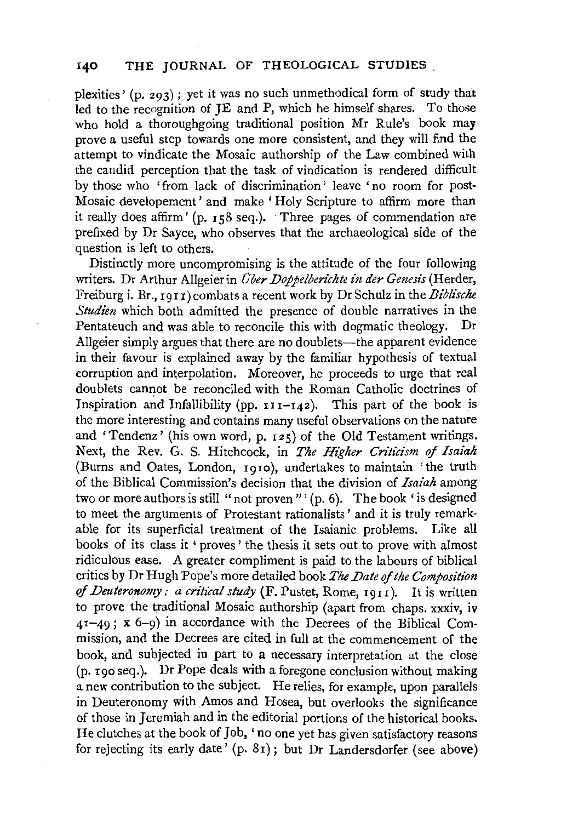#### J40 THE JOURNAL OF THEOLOGICAL STUDIES .

plexities' (p. 293); yet it was no such unmethodical form of study that led to the recognition of JE and P, which he himself shares. To those who hold a thoroughgoing traditional position Mr Rule's book may prove a useful step towards one more consistent, and they will find the attempt to vindicate the Mosaic authorship of the Law combined with the candid perception that the task of vindication is rendered difficult by those who 'from lack of discrimination' leave 'no room for post-Mosaic developement ' and make ' Holy Scripture to affirm more than it really does affirm' (p. 158 seq.). Three pages of commendation are prefixed by Dr Sayee, who observes that the archaeological side of the question is left to others.

Distinctly more uncompromising is the attitude of the four following writers. Dr Arthur Allgeier in *Uber Doppelberichte in der Genesis* (Herder, Freiburg i. Br., 1911) combats a recent work by Dr Schulz in the *Biblische Studien* which both admitted the presence of double narratives in the Pentateuch and was able to reconcile this with dogmatic theology. Dr Allgeier simply argues that there are no doublets—the apparent evidence in their favour is explained away by the familiar hypothesis of textual corruption and interpolation. Moreover, he proceeds to urge that real doublets cannot be reconciled with the Roman Catholic doctrines of Inspiration and Infallibility (pp.  $111-142$ ). This part of the book is the more interesting and contains many useful observations on the nature and 'Tendenz' (his own word, p. 125) of the Old Testament writings. Next, the Rev. G. S. Hitchcock, in *The Higher Critidsm* of *Isaiah*  (Burns and Oates, London, rgro), undertakes to maintain 'the truth of the Biblical Commission's decision that the division of *Isaiah* among two or more authors is still "not proven"' (p. 6). The book 'is designed to meet the arguments of Protestant rationalists' and it is truly remarkable for its superficial treatment of the Isaianic problems. Like all books of its class it ' proves ' the thesis it sets out to prove with almost ridiculous ease. A greater compliment is paid to the labours of biblical critics by Dr Hugh 'Pope's more detailed book *The Date* of *the Composition*  of *Deuteronomy: a critical study* (F. Pustet, Rome, rorr). It is written to prove the traditional Mosaic authorship (apart from chaps. xxxiv, iv 41-49; x 6-g) in accordance with the Decrees of the Biblical Commission, and the Decrees are cited in full at the commencement of the book, and subjected in part to a necessary interpretation at the close (p. rgo seq.). Dr Pope deals with a foregone conclusion without making a new contribution to the subject. He relies, for example, upon parallels in Deuteronomy with Amos and Hosea, but overlooks the significance of those in Jeremiah and in the editorial portions of the historical books. He clutches at the book of Job, ' no one yet has given satisfactory reasons for rejecting its early date' (p. 8r); but Dr Landersdorfer (see above)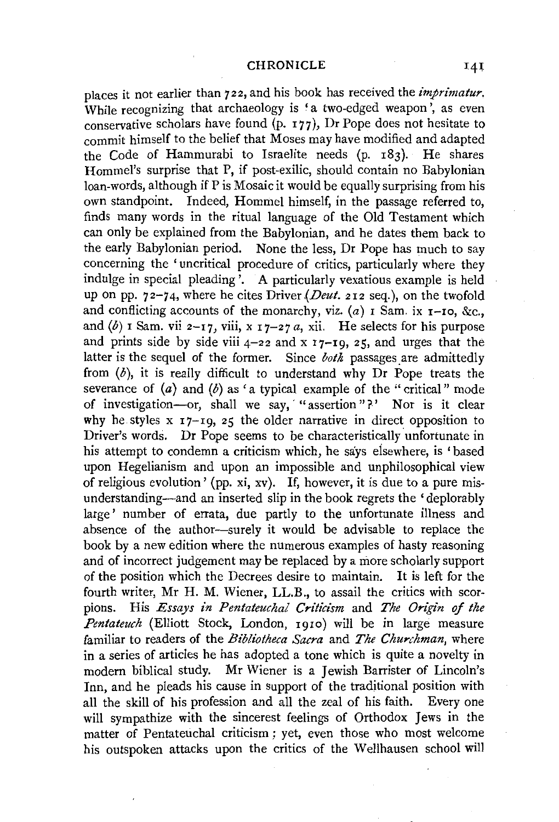places it not earlier than 722, and his book has received the *imprimatur.*  While recognizing that archaeology is 'a two-edged weapon', as even conservative scholars have found (p. I77), Dr Pope does not hesitate to commit himself to the belief that Moses may have modified and adapted the Code of Hammurabi to Israelite needs (p. I83). He shares Hommel's surprise that P, if post-exilic, should contain no Babylonian loan-words, although if P is Mosaic it would be equally surprising from his own standpoint. Indeed, Hommel himself, in the passage referred to, finds many words in the ritual language of the Old Testament which can only be explained from the Babylonian, and he dates them back to the early Babylonian period. None the less, Dr Pope has much to say concerning the 'uncritical procedure of critics, particularly where they indulge in special pleading'. A particularly vexatious example is held up on pp. 72-74, where he cites Driver *(Deut.* 212 seq.), on the twofold and conflicting accounts of the monarchy, viz.  $(a)$  I Sam. ix I-Io, &c., and  $(b)$  I Sam. vii 2-17, viii, x 17-27 *a*, xii. He selects for his purpose and prints side by side viii  $4-22$  and x  $17-19$ , 25, and urges that the latter is the sequel of the former. Since *both* passages are admittedly from  $(b)$ , it is really difficult to understand why Dr Pope treats the severance of  $(a)$  and  $(b)$  as 'a typical example of the "critical" mode of investigation-or, shall we say, "assertion"?' Nor is it clear why he styles  $x_17-19$ ,  $z_5$  the older narrative in direct opposition to Driver's words. Dr Pope seems to be characteristically unfortunate in his attempt to condemn a criticism which, he says eisewhere, is 'based upon Hegelianism and upon an impossible and unphilosophical view of religious evolution' (pp. xi, xv). If, however, it is due to a pure misunderstanding-and an inserted slip in the book regrets the 'deplorably large' number of errata, due partly to the unfortunate illness and absence of the author-surely it would be advisable to replace the book by a new edition where the numerous examples of hasty reasoning and of incorrect judgement may be replaced by a more scholarly support of the position which the Decrees desire to maintain. It is left for the fourth writer, Mr H. M. Wiener, LL.B., to assail the critics with scorpions. His *Essays in Pentateuchal Criticism* and *The Origin* of *the Pentateuch* (Elliott Stock, London, Igio) will be in large measure familiar to readers of the *Bibliotheca Sacra* and *The Churchman,* where in a series of articles he has adopted a tone which is quite a novelty in modern biblical study. Mr Wiener is a Jewish Barrister of Lincoln's Inn, and he pleads his cause in support of the traditional position with all the skill of his profession and all the zeal of his faith. Every one will sympathize with the sincerest feelings of Orthodox Jews in the matter of Pentateuchal criticism ; yet, even those who most welcome his outspoken attacks upon the critics of the Wellhausen school will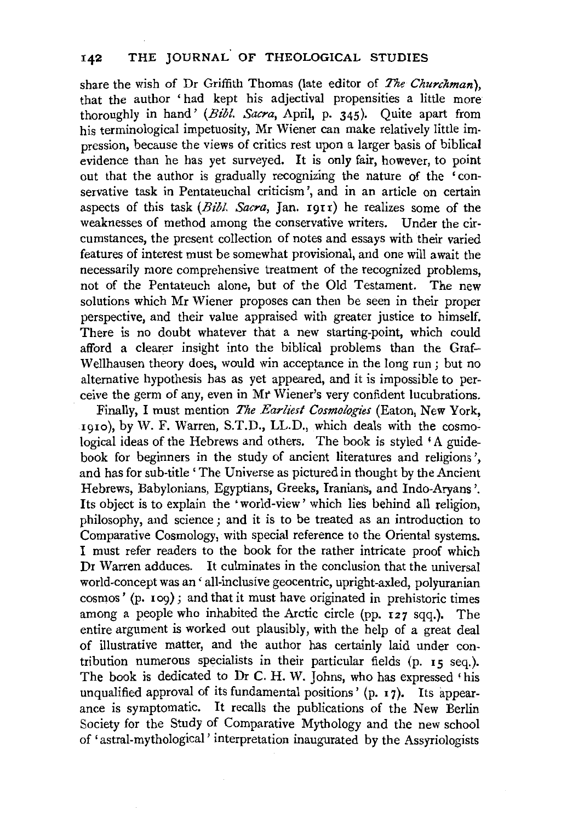share the wish of Dr Griffith Thomas (late editor of *The Churchman),*  that the author 'had kept his adjectival propensities a little more thoroughly in hand' *(Bib!. Sacra,* April, p. 345). Quite apart from his terminological impetuosity, Mr Wiener can make relatively little impression, because the views of critics rest upon a larger basis of biblical evidence than he has yet surveyed. It is only fair, however, to point out that the author is gradually recognizing the nature of the 'conservative task in Pentateuchal criticism', and in an article on certain aspects of this task *(Bib!. Sacra,* Jan. rgrr) he realizes some of the weaknesses of method among the conservative writers. Under the circumstances, the present collection of notes and essays with their varied features of interest must be somewhat provisional, and one will await the necessarily more comprehensive treatment of the recognized problems, not of the Pentateuch alone, but of the Old Testament. The new solutions which Mr Wiener proposes can then be seen in their proper perspective, and their value appraised with greater justice to himself. There is no doubt whatever that a new starting-point, which could afford a clearer insight into the biblical problems than the Graf-Wellhausen theory does, would win acceptance in the long run : but no alternative hypothesis has as yet appeared, and it is impossible to perceive the germ of any, even in *Mt* Wiener's very confident lucubrations.

Finally, I must mention *The Earliest Cosmologies* (Eaton, New York, 191o), by W. F. Warren, S.T.D., LL.D., which deals with the cosmo~ logical ideas of the Hebrews and others. The book is styled 'A guidebook for beginners in the study of ancient literatures and religions', and has for sub-title' The Universe as pictured in thought by the Ancient Hebrews, Babylonians, Egyptians, Greeks, Iranians, and Indo-Aryans '. Its object is to explain the 'world-view' which lies behind all religion, philosophy, and science; and it is to be treated as an introduction to Comparative Cosmology, with special reference to the Oriental systems. I must refer readers to the book for the rather intricate proof which Dr Warren adduces. It culminates in the conclusion that the universal world-concept was an ' all-inclusive geocentric, upright-axled, polyuranian cosmos' (p. 109); and that it must have originated in prehistoric times among a people who inhabited the Arctic circle (pp. 127 sqq.). The entire argument is worked out plausibly, with the help of a great deal of illustrative matter, and the author has certainly laid under contribution numerous specialists in their particular fields (p. 15 seq.). The book is dedicated to Dr C. H. W. Johns, who has expressed 'his unqualified approval of its fundamental positions' (p. 17). Its appearance is symptomatic. It recalls the publications of the New Berlin Society for the Study of Comparative Mythology and the new school of 'astral-mythological' interpretation inaugurated by the Assyriologists